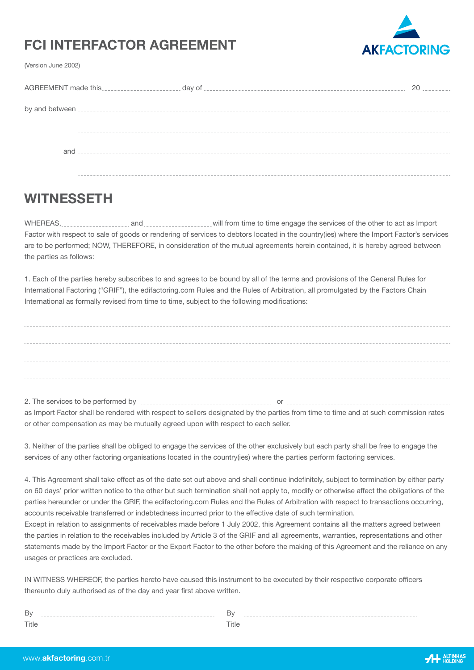# **FCI INTERFACTOR AGREEMENT**



(Version June 2002)

| 20 |
|----|
|    |
|    |
|    |
|    |
|    |
|    |
|    |
|    |
|    |

## **WITNESSETH**

WHEREAS, **and a summall container the services** of the other to act as Import Factor with respect to sale of goods or rendering of services to debtors located in the country(ies) where the Import Factor's services are to be performed; NOW, THEREFORE, in consideration of the mutual agreements herein contained, it is hereby agreed between the parties as follows:

1. Each of the parties hereby subscribes to and agrees to be bound by all of the terms and provisions of the General Rules for International Factoring ("GRIF"), the edifactoring.com Rules and the Rules of Arbitration, all promulgated by the Factors Chain International as formally revised from time to time, subject to the following modifications:

2. The services to be performed by or

as Import Factor shall be rendered with respect to sellers designated by the parties from time to time and at such commission rates or other compensation as may be mutually agreed upon with respect to each seller.

3. Neither of the parties shall be obliged to engage the services of the other exclusively but each party shall be free to engage the services of any other factoring organisations located in the country(ies) where the parties perform factoring services.

4. This Agreement shall take effect as of the date set out above and shall continue indefinitely, subject to termination by either party on 60 days' prior written notice to the other but such termination shall not apply to, modify or otherwise affect the obligations of the parties hereunder or under the GRIF, the edifactoring.com Rules and the Rules of Arbitration with respect to transactions occurring, accounts receivable transferred or indebtedness incurred prior to the effective date of such termination.

Except in relation to assignments of receivables made before 1 July 2002, this Agreement contains all the matters agreed between the parties in relation to the receivables included by Article 3 of the GRIF and all agreements, warranties, representations and other statements made by the Import Factor or the Export Factor to the other before the making of this Agreement and the reliance on any usages or practices are excluded.

IN WITNESS WHEREOF, the parties hereto have caused this instrument to be executed by their respective corporate officers thereunto duly authorised as of the day and year first above written.

| Β١<br>------------------------ | ີ |
|--------------------------------|---|
| Title                          |   |